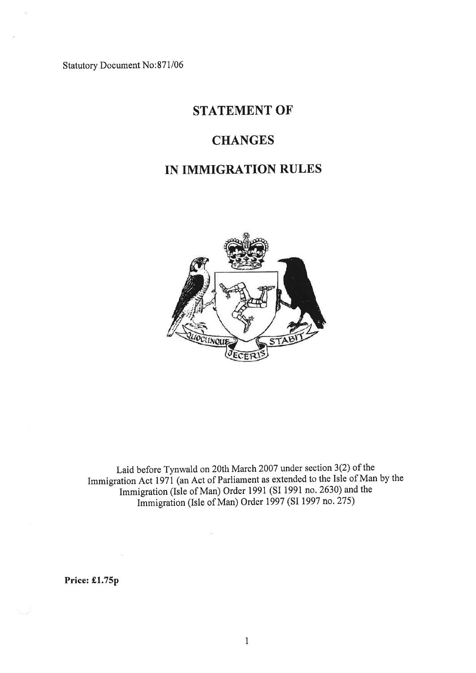Statutory Document No:871/06

## **STATEMENT OF**

## **CHANGES**

# IN IMMIGRATION RULES



Laid before Tynwald on 20th March 2007 under section 3(2) of the Immigration Act 1971 (an Act of Parliament as extended to the Isle of Man by the Immigration (Isle of Man) Order 1991 (SI 1991 no. 2630) and the Immigration (Isle of Man) Order 1997 (SI 1997 no. 275)

Price: £1.75p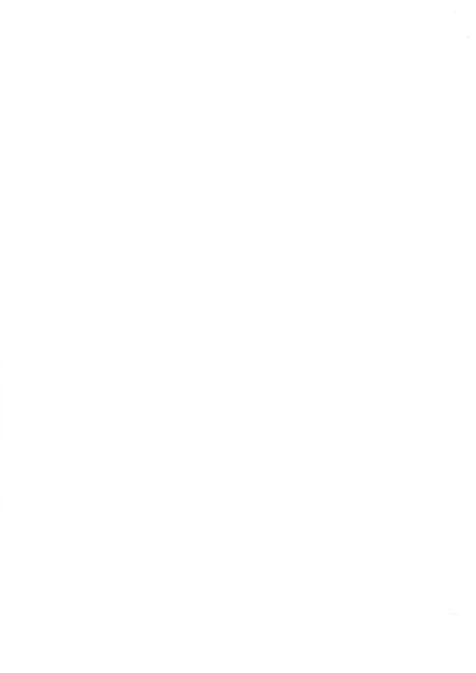$\overline{v}$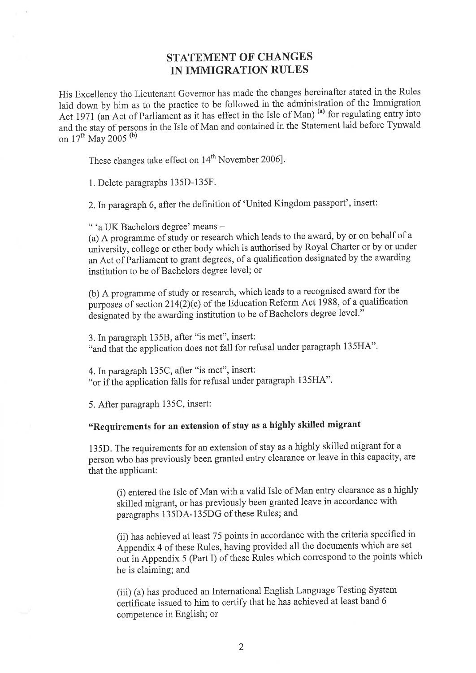## **STATEMENT OF CHANGES** IN IMMIGRATION RULES

His Excellency the Lieutenant Governor has made the changes hereinafter stated in the Rules laid down by him as to the practice to be followed in the administration of the Immigration Act 1971 (an Act of Parliament as it has effect in the Isle of Man)<sup>(a)</sup> for regulating entry into and the stay of persons in the Isle of Man and contained in the Statement laid before Tynwald on 17<sup>th</sup> May 2005<sup>(b)</sup>

These changes take effect on 14<sup>th</sup> November 2006].

1. Delete paragraphs 135D-135F.

2. In paragraph 6, after the definition of 'United Kingdom passport', insert:

"'a UK Bachelors degree' means -

(a) A programme of study or research which leads to the award, by or on behalf of a university, college or other body which is authorised by Royal Charter or by or under an Act of Parliament to grant degrees, of a qualification designated by the awarding institution to be of Bachelors degree level; or

(b) A programme of study or research, which leads to a recognised award for the purposes of section 214(2)(c) of the Education Reform Act 1988, of a qualification designated by the awarding institution to be of Bachelors degree level."

3. In paragraph 135B, after "is met", insert: "and that the application does not fall for refusal under paragraph 135HA".

4. In paragraph 135C, after "is met", insert: "or if the application falls for refusal under paragraph 135HA".

5. After paragraph 135C, insert:

## "Requirements for an extension of stay as a highly skilled migrant

135D. The requirements for an extension of stay as a highly skilled migrant for a person who has previously been granted entry clearance or leave in this capacity, are that the applicant:

(i) entered the Isle of Man with a valid Isle of Man entry clearance as a highly skilled migrant, or has previously been granted leave in accordance with paragraphs 135DA-135DG of these Rules; and

(ii) has achieved at least 75 points in accordance with the criteria specified in Appendix 4 of these Rules, having provided all the documents which are set out in Appendix 5 (Part I) of these Rules which correspond to the points which he is claiming; and

(iii) (a) has produced an International English Language Testing System certificate issued to him to certify that he has achieved at least band 6 competence in English; or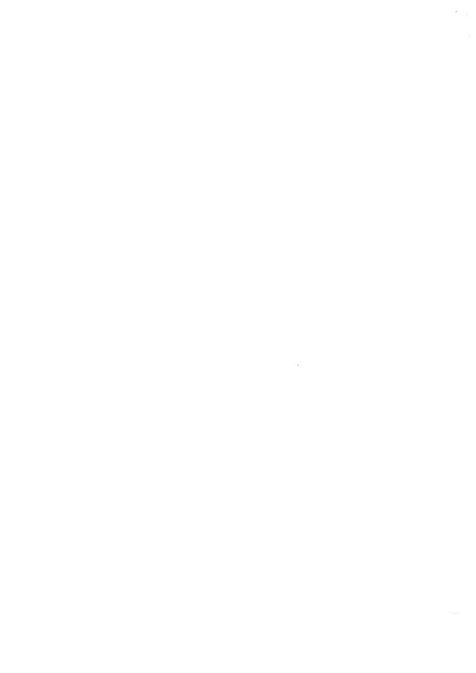$\mathcal{C}_{\mathcal{A}}$ 

 $\mathcal{M}^{\Lambda}$  . The set of  $\mathcal{M}^{\Lambda}$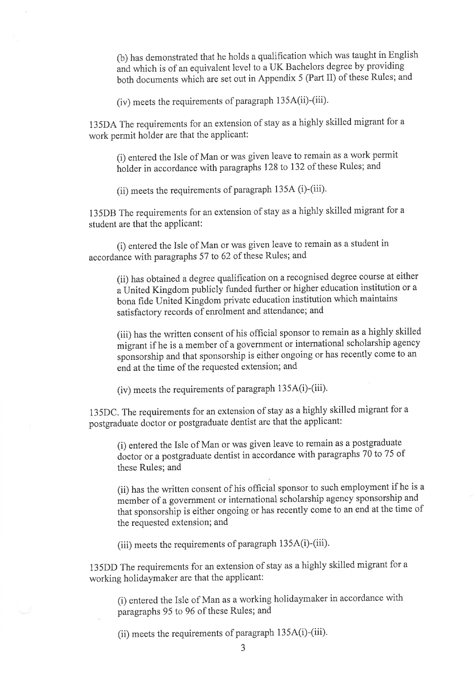(b) has demonstrated that he holds a qualification which was taught in English and which is of an equivalent level to a UK Bachelors degree by providing both documents which are set out in Appendix 5 (Part II) of these Rules; and

 $(iv)$  meets the requirements of paragraph 135A(ii)-(iii).

135D4 The requirements for an extension of stay as a highly skilled migrant for <sup>a</sup> work permit holder are that the applicant:

(i) entered the Isle of Man or was given leave to remain as a work permit holder in accordance with paragraphs 128 to 132 of these Rules; and

 $(ii)$  meets the requirements of paragraph 135A  $(i)$ - $(iii)$ .

l35DB The requirements for an extension of stay as a highly skilled migrant for <sup>a</sup> student are that the applicant:

(i) entered the Isle of Man or was given leave to remain as a student in accordance with paragraphs 51 to 62 of these Rules; and

(ii) has obtained a degree qualification on a recognised degree course at either <sup>a</sup>United Kingdom publicly funded further or higher education institution or <sup>a</sup> bona fide United Kingdom private education institution which maintains satisfactory records of enrolment and attendance; and

(iii) has the written consent of his offrcial sponsor to remain as a highly skilled migrant if he is a member of a government or international scholarship agency sponsorship and that sponsorship is either ongoing or has recently come to an end at the time of the requested extension; and

 $(iv)$  meets the requirements of paragraph 135A $(i)$ - $(iii)$ .

135DC. The requirements for an extension of stay as a highly skilled migrant for <sup>a</sup> postgraduate doctor or postgraduate dentist are that the applicant:

(i) entered the Isle of Man or was given leave to remain as a postgraduate doctor or a postgraduate dentist in accordance with paragraphs 70 to 75 of these Rules; and

(ii) has the written consent of his official sponsor to such employment if he is <sup>a</sup> member of a government or international scholarship agency sponsorship and that sponsorship is either ongoing or has recently come to an end at the time of the requested extension; and

 $(iii)$  meets the requirements of paragraph  $135A(i)-(iii)$ .

i35DD The requirements for an extension of stay as a highly skilled migrant for <sup>a</sup> working holidaymaker are that the applicant:

(i) entered the Isle of Man as a working holidaymaker in accordance with paragraphs 95 to 96 of these Rules; and

(ii) meets the requirements of paragraph  $135A(i)$ -(iii).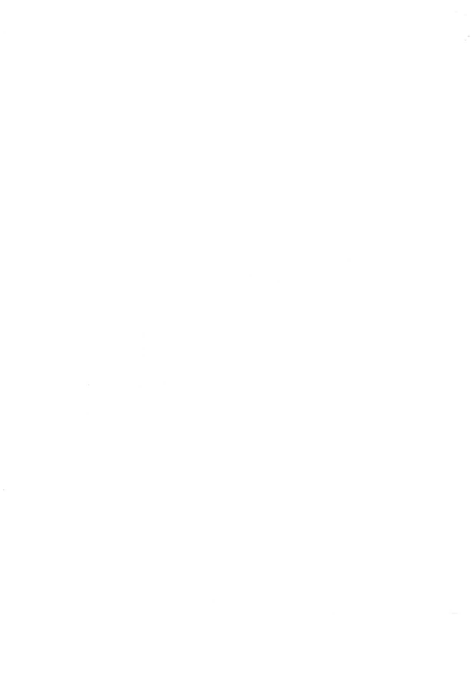$\bar{\varepsilon}$ 

 $\mathbb{E}[\cdot]$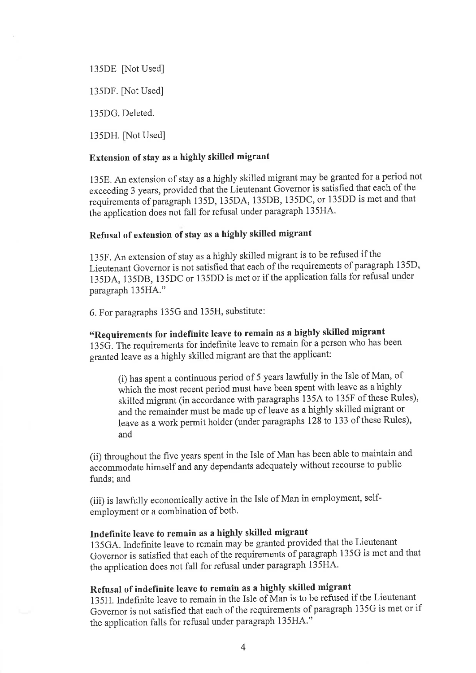135DE [Not Used]

135DF. [Not Used]

135DG. Deleted.

135DH. [Not Used]

#### Extension of stay as a highly skilled migrant

1358, An extension of stay as a highly skilled migrant may be granted for a period not exceeding 3 years, provided that the Lieutenant Governor is satisfied that each of the requiremãnts of paragraph 135D, 135D4, 135D8, 135DC, or 135DD is met and that the application does not fall for refusal under paragraph 135H4'

## Refusal of extension of stay as a highly skilled migrant

135F. An extension of stay as a highly skilled migrant is to be refused if the Lieutenant Governor is not satisfied that each of the requirements of paragraph 135D, 135DA, l35DB, l35DC or 135DD is met or if the application falls for refusal under paragraph 135HA."

6. For paragraphs 135G and 135H, substitute:

"Requirements for indefinite leave to remain as a highly skilled migrant 135G. The requirements for indefinite leave to remain for a person who has been granted leave ãs a highly skilled migrant are that the applicant:

(i) has spent a continuous period of 5 years lawfully in the Isle of Man, of which the most recent period must have been spent with leave as a highly skilled migrant (in accórdance with paragraphs 1354 to 135F of these Rules), and the remainder must be made up of leave as a highly skilled migrant or leave as a work permit holder (under paragraphs 128 to 133 of these Rules), and

(ii) throughout the five years spent in the Isle of Man has been able to maintain and accommodate himself and any dependants adequately without recourse to public funds; and

(iii) is lawfully economically active in the Isle of Man in employment, selfemployment or a combination of both.

## Indefïnite leave to remain as a highly skilled migrant

135G4. Indefinite leave to remain may be granted provided that the Lieutenant Governor is satisfied that each of the requirements of paragraph 135G is met and that the application does not fall for refusal under paragraph 135H4.

## Refusal of indefinite leave to remain as a highly skilled migrant

135H. Indefinite leave to remain in the Isle of Man is to be refused if the Lieutenant Governor is not satisfied that each of the requirements of paragraph 135G is met or if the application falls for refusal under paragraph 135HA."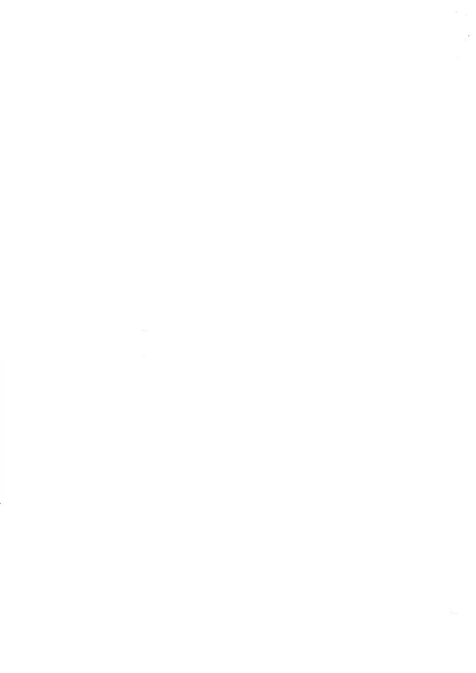$\sim$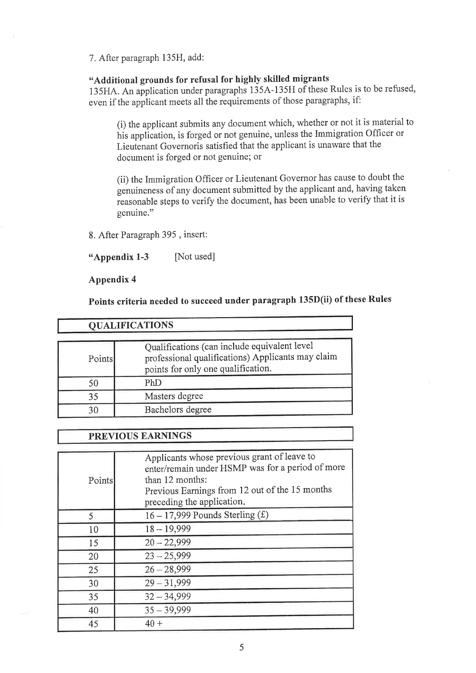7. After paragraph 135H, add:

## ('Additional grounds for refusal for highly skilled migrants

135H4. An application under paragraphs 1354-135H of these Rules is to be refused, even if the applicant meets all the requirements of those paragraphs, if:

(i) the applicant submits any document which, whether or not it is material to his application, is forged or not genuine, unless the Immigration Offrcer or Lieutenant Governoris satisfied that the applicant is unaware that the document is forged or not genuine; or

(ii) the Immigration Ofhcer or Lieutenant Governor has cause to doubt the genuineness of any document submitted by the applicant and, having taken reasonable steps to verify the document, has been unable to verify that it is genuine."

8. After Paragraph 395 , insert:

"Appendix 1-3 [Not used]

#### Appendix 4

Points criteria needed to succeed under paragraph 135D(ii) of these Rules

| <b>QUALIFICATIONS</b> |                                                                                                                                         |  |
|-----------------------|-----------------------------------------------------------------------------------------------------------------------------------------|--|
| Points                | Qualifications (can include equivalent level<br>professional qualifications) Applicants may claim<br>points for only one qualification. |  |
| 50                    | PhD                                                                                                                                     |  |
| 35                    | Masters degree                                                                                                                          |  |
|                       | Bachelors degree                                                                                                                        |  |

### PREVIOUS EARNINGS

| Points | Applicants whose previous grant of leave to<br>enter/remain under HSMP was for a period of more<br>than 12 months:<br>Previous Earnings from 12 out of the 15 months |
|--------|----------------------------------------------------------------------------------------------------------------------------------------------------------------------|
|        | preceding the application.                                                                                                                                           |
| 5      | $16 - 17,999$ Pounds Sterling $(E)$                                                                                                                                  |
| 10     | $18 - 19,999$                                                                                                                                                        |
| 15     | $20 - 22,999$                                                                                                                                                        |
| 20     | $23 - 25,999$                                                                                                                                                        |
| 25     | $26 - 28,999$                                                                                                                                                        |
| 30     | $29 - 31,999$                                                                                                                                                        |
| 35     | $32 - 34,999$                                                                                                                                                        |
| 40     | $35 - 39,999$                                                                                                                                                        |
| 45     | $40 +$                                                                                                                                                               |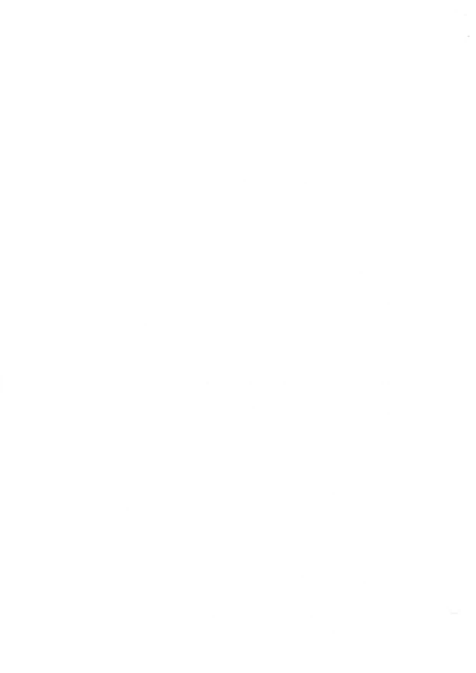$\mu$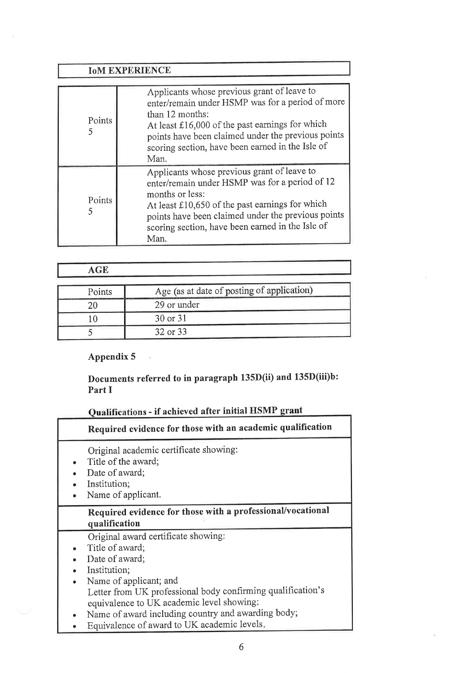| <b>IOM EXPERIENCE</b> |                                                                                                                                                                                                                                                                                           |  |
|-----------------------|-------------------------------------------------------------------------------------------------------------------------------------------------------------------------------------------------------------------------------------------------------------------------------------------|--|
|                       |                                                                                                                                                                                                                                                                                           |  |
| Points<br>5           | Applicants whose previous grant of leave to<br>enter/remain under HSMP was for a period of more<br>than 12 months:<br>At least $£16,000$ of the past earnings for which<br>points have been claimed under the previous points<br>scoring section, have been earned in the Isle of<br>Man. |  |
| Points<br>5           | Applicants whose previous grant of leave to<br>enter/remain under HSMP was for a period of 12<br>months or less:<br>At least £10,650 of the past earnings for which<br>points have been claimed under the previous points<br>scoring section, have been earned in the Isle of<br>Man.     |  |

| AGE    |                                            |
|--------|--------------------------------------------|
| Points | Age (as at date of posting of application) |
|        | 29 or under                                |
|        | 30 or 31                                   |
|        | 32 or 33                                   |

#### Appendix 5  $\bar{\sigma}$

Documents referred to in paragraph 135D(ii) and 135D(iii)b: Part I

## Qualifications - if achieved after initial HSMP grant

| Required evidence for those with an academic qualification                                                                                                                                                                                                                                                                          |  |
|-------------------------------------------------------------------------------------------------------------------------------------------------------------------------------------------------------------------------------------------------------------------------------------------------------------------------------------|--|
| Original academic certificate showing:<br>Title of the award;<br>Date of award;<br>Institution;<br>Name of applicant.                                                                                                                                                                                                               |  |
| Required evidence for those with a professional/vocational<br>qualification                                                                                                                                                                                                                                                         |  |
| Original award certificate showing:<br>Title of award;<br>Date of award;<br>Institution;<br>Name of applicant; and<br>Letter from UK professional body confirming qualification's<br>equivalence to UK academic level showing:<br>Name of award including country and awarding body;<br>Equivalence of award to UK academic levels. |  |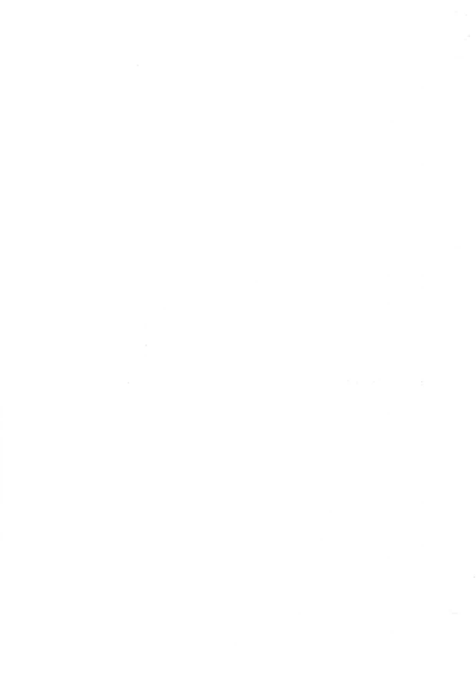$\sim$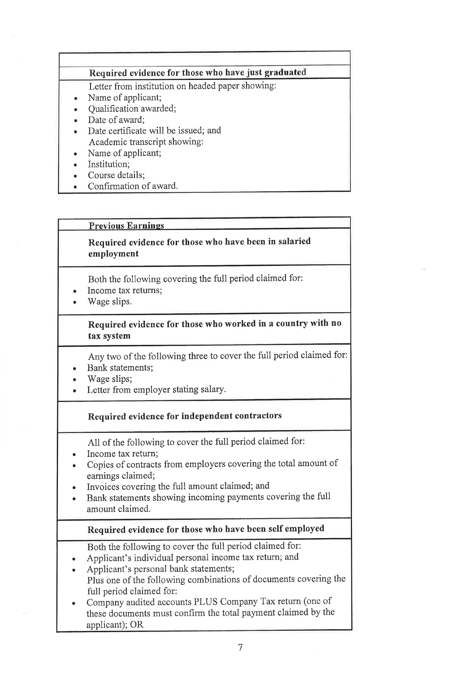## Required evidence for those who have just graduated

Letter from institution on headed paper showing:

- Name of applicant;
- Qualification awarded;<br>• Date of award:
- Date of award:
- . Date certificate will be issued; and Academic transcript showing:
- Name of applicant;
- . Institution;
- . Course details;
- . Confirmation of award.

### **Previous Earnings**

## Required evidence for those who have been in salaried employment

Both the following covering the full period claimed for:

- . Income tax returns;
- . 'Wage slips.

## Required evidence for those who worked in a country with no tax system

Any two of the following three to cover the full period claimed for:

- . Bank statements;
- . 'Wage slips;
- . Letter from employer stating salary.

## Required evidence for independent contractors

All of the following to cover the full period claimed for:

- . Income tax return;
- . Copies of contracts from employers covering the total amount of eamings claimed;
- . Invoices covering the full amount claimed; and
- . Bank statements showing incoming payments covering the full amount claimed.

## Required evidence for those who have been self employed

Both the following to cover the full period claimed for:

- . Applicant's individual personal income tax return; and
- . Applicant's personal bank statements;
- Plus one of the following combinations of documents covering the full period claimed for:
- . Company audited accounts PLUS Company Tax return (one of these documents must confirm the total payment claimed by the applicant); OR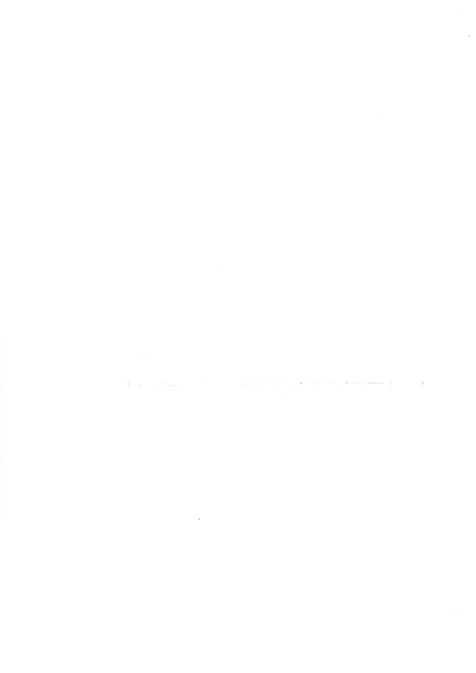$\mathcal{X}(\mathcal{A})=\mathcal{X}(\mathcal{A})=\mathcal{X}(\mathcal{A})=\mathcal{X}(\mathcal{A})=\mathcal{X}(\mathcal{A})=\mathcal{X}(\mathcal{A})=\mathcal{X}(\mathcal{A})=\mathcal{X}(\mathcal{A})=\mathcal{X}(\mathcal{A})=\mathcal{X}(\mathcal{A})=\mathcal{X}(\mathcal{A})=\mathcal{X}(\mathcal{A})=\mathcal{X}(\mathcal{A})=\mathcal{X}(\mathcal{A})=\mathcal{X}(\mathcal{A})=\mathcal{X}(\mathcal{A})=\mathcal{X}(\mathcal{A})=\mathcal{X}(\mathcal{A})=\mathcal{$ 

 $\sim 100$  km s  $^{-1}$ 

 $\sim$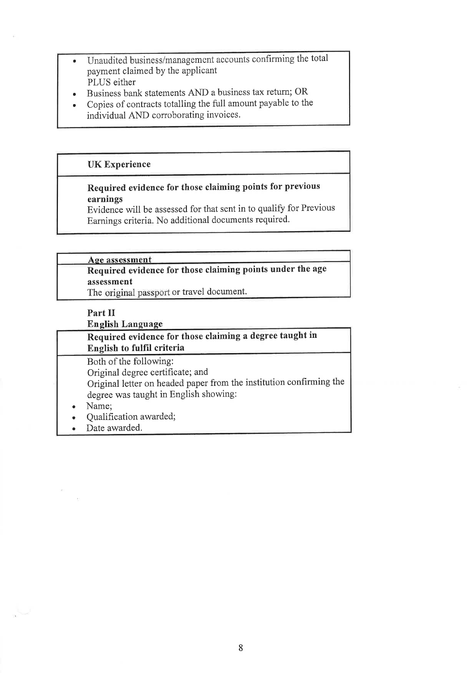- Unaudited business/management accounts confirming the total payment claimed by the applicant PLUS either
- . Business bank statements AND a business tax retum; OR
- . Copies of contracts totalling the full amount payable to the individual AND corroborating invoices.

## UK Experience

## Required evidence for those claiming points for previous earnings

Evidence will be assessed for that sent in to qualify for Previous Earnings criteria. No additional documents required.

#### Age assessment

Required evidence for those claiming points under the age assessment

The original passport or travel document.

### Part II

**English Language** 

| Required evidence for those claiming a degree taught in<br>English to fulfil criteria |  |
|---------------------------------------------------------------------------------------|--|
| Both of the following:                                                                |  |
| Original degree certificate; and                                                      |  |
| Original letter on headed paper from the institution confirming the                   |  |
| degree was taught in English showing:                                                 |  |
| Name;                                                                                 |  |
| Qualification awarded;                                                                |  |
| Date awarded.                                                                         |  |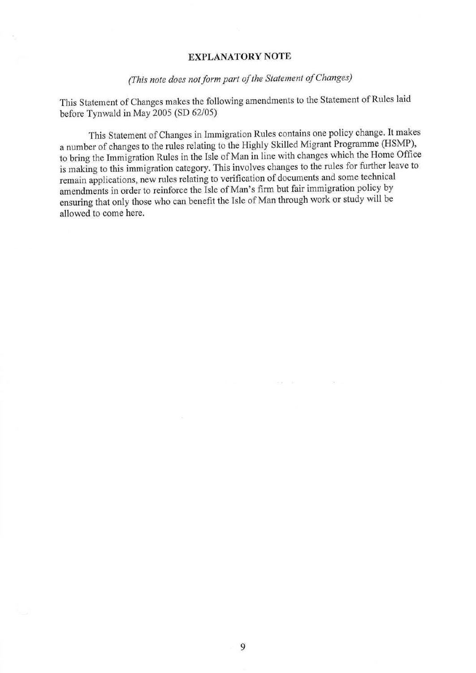### **EXPLANATORY NOTE**

## (This note does not form part of the Statement of Changes)

This Statement of Changes makes the following amendments to the Statement of Rules laid before Tynwald in May 2005 (SD 62/05)

This Statement of Changes in Immigration Rules contains one policy change. It makes a number of changes to the rules relating to the Highly Skilled Migrant Programme (HSMP), to bring the Immigration Rules in the Isle of Man in line with changes which the Home Office is making to this immigration category. This involves changes to the rules for further leave to remain applications, new rules relating to verification of documents and some technical amendments in order to reinforce the Isle of Man's firm but fair immigration policy by ensuring that only those who can benefit the Isle of Man through work or study will be allowed to come here.